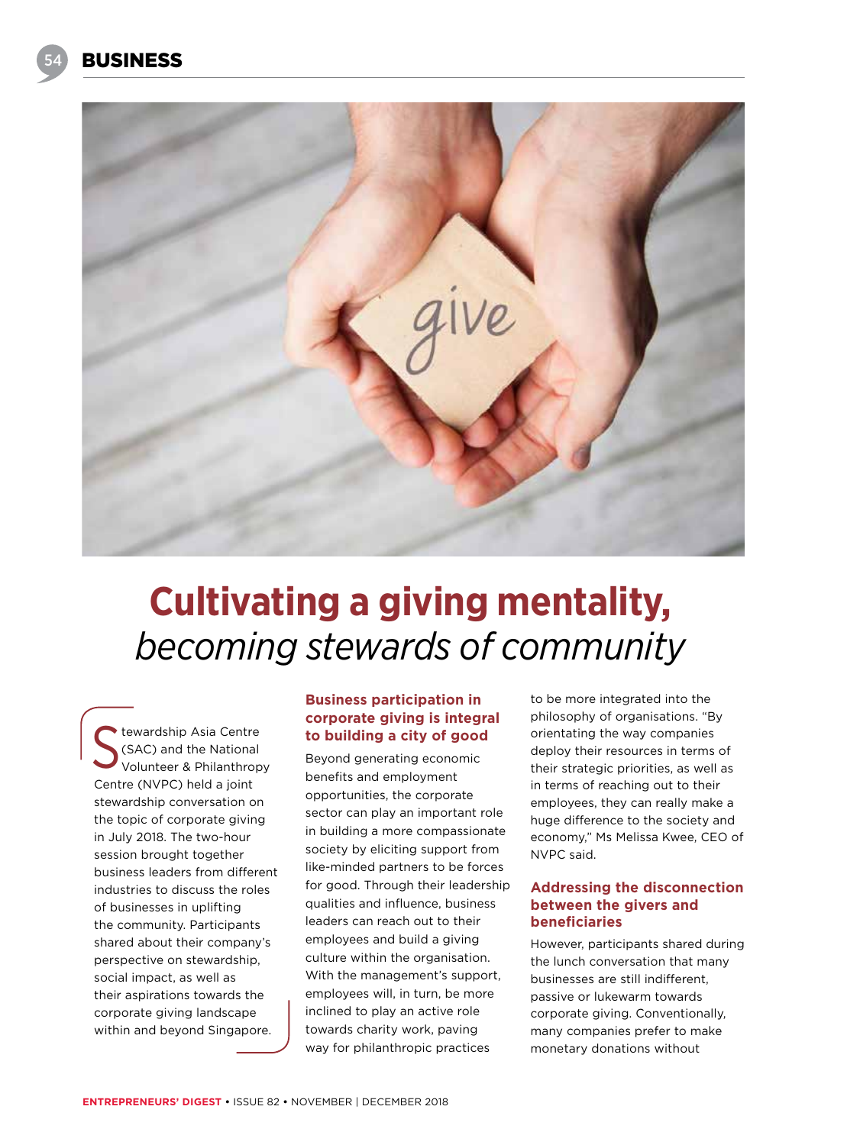

# **Cultivating a giving mentality,**  *becoming stewards of community*

tewardship Asia Centre (SAC) and the National Volunteer & Philanthropy Centre (NVPC) held a joint stewardship conversation on the topic of corporate giving in July 2018. The two-hour session brought together business leaders from different industries to discuss the roles of businesses in uplifting the community. Participants shared about their company's perspective on stewardship, social impact, as well as their aspirations towards the corporate giving landscape within and beyond Singapore. S

## **Business participation in corporate giving is integral to building a city of good**

Beyond generating economic benefits and employment opportunities, the corporate sector can play an important role in building a more compassionate society by eliciting support from like-minded partners to be forces for good. Through their leadership qualities and influence, business leaders can reach out to their employees and build a giving culture within the organisation. With the management's support, employees will, in turn, be more inclined to play an active role towards charity work, paving way for philanthropic practices

to be more integrated into the philosophy of organisations. "By orientating the way companies deploy their resources in terms of their strategic priorities, as well as in terms of reaching out to their employees, they can really make a huge difference to the society and economy," Ms Melissa Kwee, CEO of NVPC said.

### **Addressing the disconnection between the givers and beneficiaries**

However, participants shared during the lunch conversation that many businesses are still indifferent, passive or lukewarm towards corporate giving. Conventionally, many companies prefer to make monetary donations without